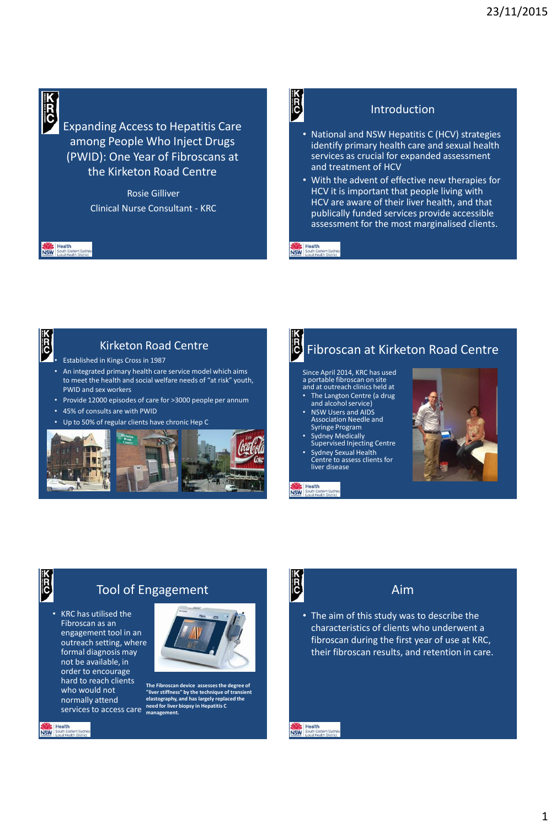

Expanding Access to Hepatitis Care among People Who Inject Drugs (PWID): One Year of Fibroscans at the Kirketon Road Centre

> Rosie Gilliver Clinical Nurse Consultant - KRC



#### Introduction

- National and NSW Hepatitis C (HCV) strategies identify primary health care and sexual health services as crucial for expanded assessment and treatment of HCV
- With the advent of effective new therapies for HCV it is important that people living with HCV are aware of their liver health, and that publically funded services provide accessible assessment for the most marginalised clients.



Health<br>NSW South East

#### Kirketon Road Centre

• Established in Kings Cross in 1987

- An integrated primary health care service model which aims to meet the health and social welfare needs of "at risk" youth, PWID and sex workers
- Provide 12000 episodes of care for >3000 people per annum
- 45% of consults are with PWID
- Up to 50% of regular clients have chronic Hep C





**NSW**<br>NSW South East

## Fibroscan at Kirketon Road Centre

Since April 2014, KRC has used a portable fibroscan on site and at outreach clinics held at • The Langton Centre (a drug and alcohol service)

- NSW Users and AIDS Association Needle and Syringe Program
- Sydney Medically Supervised Injecting Centre
- Sydney Sexual Health Centre to assess clients for liver disease

Health NSW<sub>So</sub>



# E

**NSW** Health

tern Sydr

### Tool of Engagement

• KRC has utilised the Fibroscan as an engagement tool in an outreach setting, where formal diagnosis may not be available, in order to encourage hard to reach clients<br>who would not who would not normally attend services to access care



**The Fibroscan device assesses the degree of "liver stiffness" by the technique of transient elastography, and has largely replaced the need for liver biopsy in Hepatitis C management.**



#### Aim

• The aim of this study was to describe the characteristics of clients who underwent a fibroscan during the first year of use at KRC, their fibroscan results, and retention in care.

**NSW**<br>NSW South Eastern Sydn